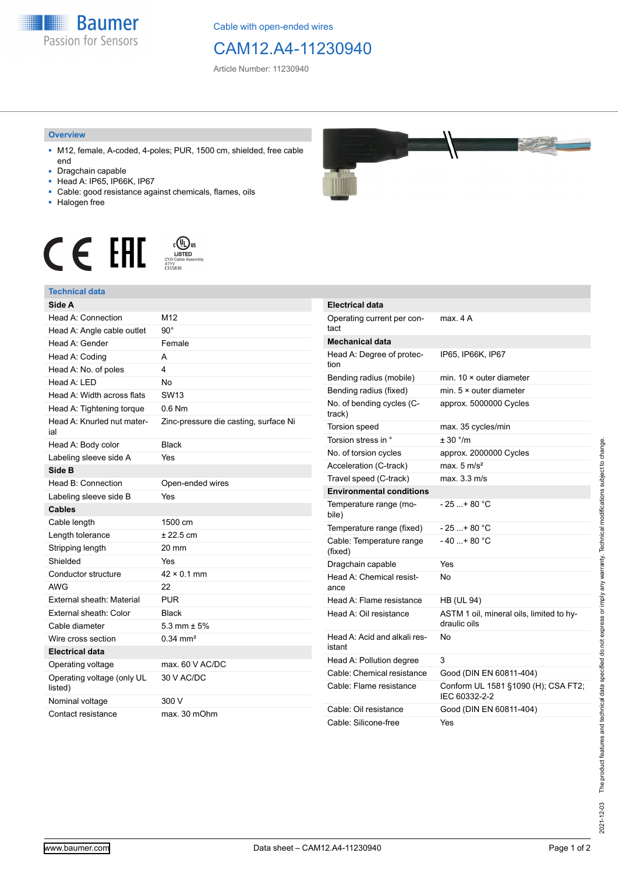

Cable with open-ended wires

## CAM12.A4-11230940

Article Number: 11230940

## **Overview**

- M12, female, A-coded, 4-poles; PUR, 1500 cm, shielded, free cable end
- Dragchain capable
- Head A: IP65, IP66K, IP67
- Cable: good resistance against chemicals, flames, oils
- Halogen free

**Technical data**







| Side A                                |                                       |
|---------------------------------------|---------------------------------------|
| Head A: Connection                    | M12                                   |
| Head A: Angle cable outlet            | $90^{\circ}$                          |
| Head A: Gender                        | Female                                |
| Head A: Coding                        | А                                     |
| Head A: No. of poles                  | 4                                     |
| Head A: LED                           | <b>No</b>                             |
| Head A: Width across flats            | SW13                                  |
| Head A: Tightening torque             | $0.6$ Nm                              |
| Head A: Knurled nut mater-<br>ial     | Zinc-pressure die casting, surface Ni |
| Head A: Body color                    | <b>Black</b>                          |
| Labeling sleeve side A                | Yes                                   |
| Side B                                |                                       |
| Head B: Connection                    | Open-ended wires                      |
| Labeling sleeve side B                | Yes                                   |
| <b>Cables</b>                         |                                       |
| Cable length                          | 1500 cm                               |
| Length tolerance                      | $± 22.5$ cm                           |
| Stripping length                      | 20 mm                                 |
| Shielded                              | Yes                                   |
| Conductor structure                   | $42 \times 0.1$ mm                    |
| <b>AWG</b>                            | 22                                    |
| External sheath: Material             | <b>PUR</b>                            |
| External sheath: Color                | <b>Black</b>                          |
| Cable diameter                        | $5.3$ mm $\pm$ 5%                     |
| Wire cross section                    | $0.34 \, \text{mm}^2$                 |
| <b>Electrical data</b>                |                                       |
| Operating voltage                     | max. 60 V AC/DC                       |
| Operating voltage (only UL<br>listed) | 30 V AC/DC                            |
| Nominal voltage                       | 300 V                                 |

Contact resistance max. 30 mOhm

| Electrical data                        |                                                          |
|----------------------------------------|----------------------------------------------------------|
| Operating current per con-<br>tact     | max. 4 A                                                 |
| <b>Mechanical data</b>                 |                                                          |
| Head A: Degree of protec-<br>tion      | IP65, IP66K, IP67                                        |
| Bending radius (mobile)                | min. $10 \times$ outer diameter                          |
| Bending radius (fixed)                 | min. $5 \times$ outer diameter                           |
| No. of bending cycles (C-<br>track)    | approx. 5000000 Cycles                                   |
| <b>Torsion speed</b>                   | max. 35 cycles/min                                       |
| Torsion stress in °                    | ± 30 °/m                                                 |
| No. of torsion cycles                  | approx. 2000000 Cycles                                   |
| Acceleration (C-track)                 | max. $5 \text{ m/s}^2$                                   |
| Travel speed (C-track)                 | max. 3.3 m/s                                             |
| <b>Environmental conditions</b>        |                                                          |
| Temperature range (mo-<br>bile)        | - 25 + 80 °C                                             |
| Temperature range (fixed)              | $-25+80 °C$                                              |
| Cable: Temperature range<br>(fixed)    | $-40+80 °C$                                              |
| Dragchain capable                      | Yes                                                      |
| Head A: Chemical resist-<br>ance       | No                                                       |
| Head A: Flame resistance               | <b>HB (UL 94)</b>                                        |
| Head A: Oil resistance                 | ASTM 1 oil, mineral oils, limited to hy-<br>draulic oils |
| Head A: Acid and alkali res-<br>istant | No                                                       |
| Head A: Pollution degree               | 3                                                        |
| Cable: Chemical resistance             | Good (DIN EN 60811-404)                                  |
| Cable: Flame resistance                | Conform UL 1581 §1090 (H); CSA FT2;<br>IEC 60332-2-2     |
| Cable: Oil resistance                  | Good (DIN EN 60811-404)                                  |
| Cable: Silicone-free                   | Yes                                                      |